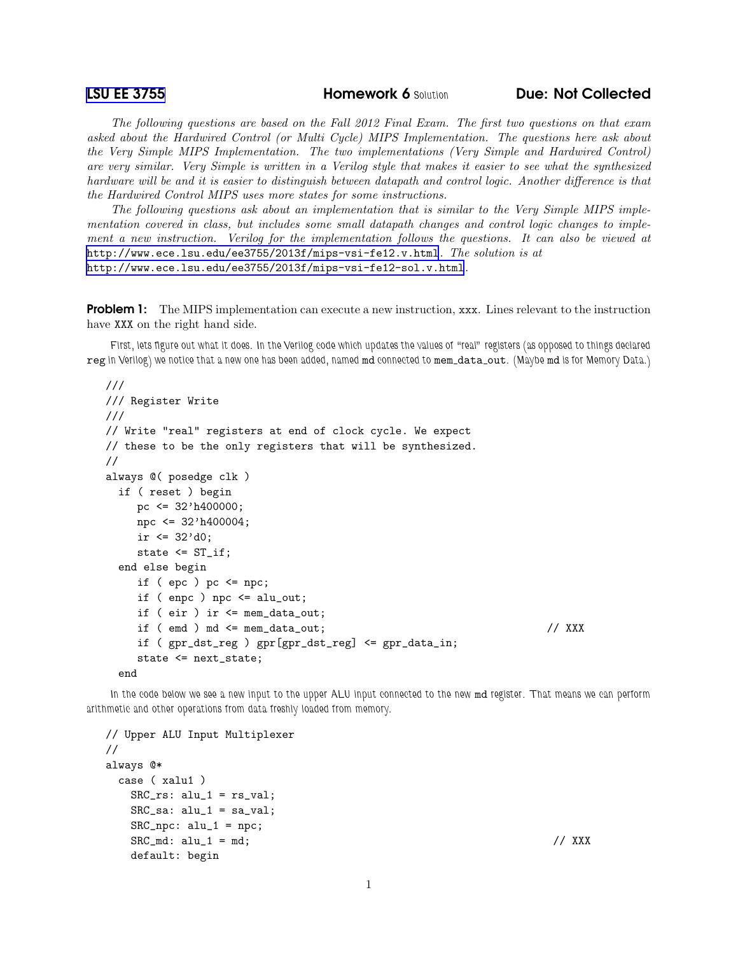[LSU EE 3755](http://www.ece.lsu.edu/ee3755/) Homework 6 *Solution* Due: Not Collected

The following questions are based on the Fall 2012 Final Exam. The first two questions on that exam asked about the Hardwired Control (or Multi Cycle) MIPS Implementation. The questions here ask about the Very Simple MIPS Implementation. The two implementations (Very Simple and Hardwired Control) are very similar. Very Simple is written in a Verilog style that makes it easier to see what the synthesized hardware will be and it is easier to distinguish between datapath and control logic. Another difference is that the Hardwired Control MIPS uses more states for some instructions.

The following questions ask about an implementation that is similar to the Very Simple MIPS implementation covered in class, but includes some small datapath changes and control logic changes to implement a new instruction. Verilog for the implementation follows the questions. It can also be viewed at <http://www.ece.lsu.edu/ee3755/2013f/mips-vsi-fe12.v.html>. The solution is at <http://www.ece.lsu.edu/ee3755/2013f/mips-vsi-fe12-sol.v.html>.

**Problem 1:** The MIPS implementation can execute a new instruction, xxx. Lines relevant to the instruction have XXX on the right hand side.

*First, lets figure out what it does. In the Verilog code which updates the values of "real" registers (as opposed to things declared* reg *in Verilog) we notice that a new one has been added, named* md *connected to* mem data out*. (Maybe* md *is for Memory Data.)*

```
///
/// Register Write
///
// Write "real" registers at end of clock cycle. We expect
// these to be the only registers that will be synthesized.
//
always @( posedge clk )
  if ( reset ) begin
    pc <= 32'h400000;
    npc <= 32'h400004;
    ir \leq 32' d0;
    state \leq ST_if;
  end else begin
    if ( epc ) pc \leq npc;
     if ( enpc ) npc \leq allu_out;if ( eir ) ir <= mem_data_out;
     if (end) and \le mem_data_out; // XXX
     if ( gpr_dst_reg ) gpr[gpr_dst_reg] <= gpr_data_in;
     state <= next_state;
  end
```
*In the code below we see a new input to the upper ALU input connected to the new* md *register. That means we can perform arithmetic and other operations from data freshly loaded from memory.*

```
// Upper ALU Input Multiplexer
//
always @*
  case ( xalu1 )
   SRC\_rs: alu_1 = rs\_val;SRC\_sa: alu_1 = sa_val;SRC: \text{alu}_1 = \text{npc};SRC\_md: alu_1 = md; \qquad \qquad \qquad // XXX
   default: begin
```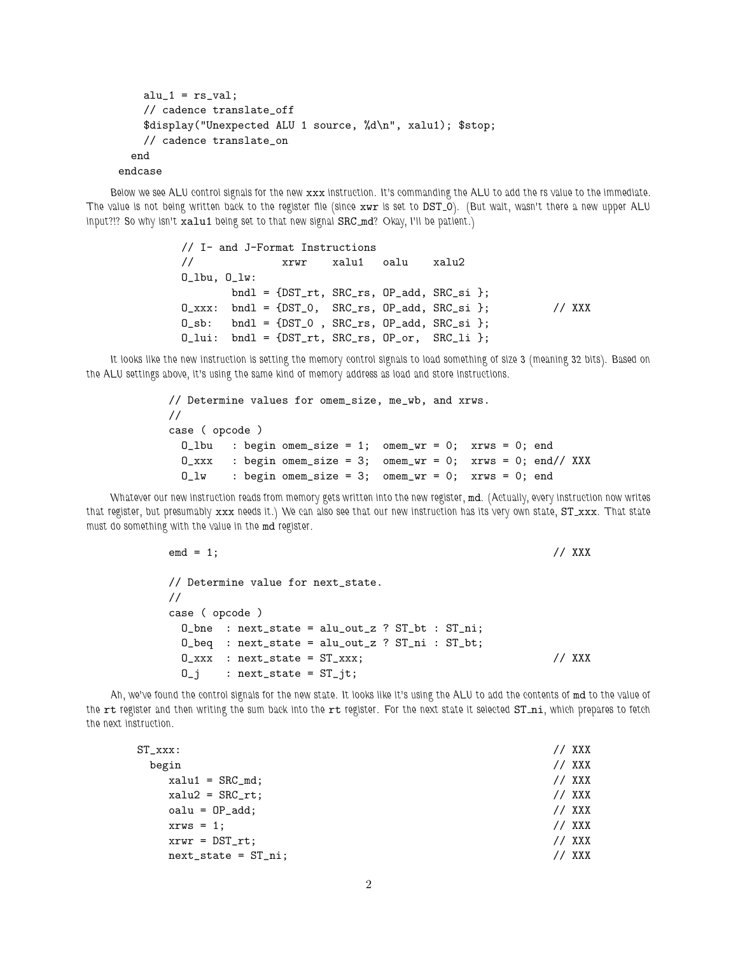```
alu_1 = rs_val;// cadence translate_off
    $display("Unexpected ALU 1 source, %d\n", xalu1); $stop;
    // cadence translate_on
  end
endcase
```
*Below we see ALU control signals for the new* xxx *instruction. It's commanding the ALU to add the rs value to the immediate. The value is not being written back to the register file (since* xwr *is set to* DST 0*). (But wait, wasn't there a new upper ALU input?!? So why isn't* xalu1 *being set to that new signal* SRC md*? Okay, I'll be patient.)*

```
// I- and J-Format Instructions
// xrwr xalu1 oalu xalu2
0_lbu, 0_llw:
        bndl = {DST_rt, SRC_rs, OP_add, SRC_si };
0_xxxx: bndl = \{DST_0, SRC_rrs, OP_add, SRC_si\}; // XXX
0<sub>sb</sub>: bndl = \{DST_0, SRC_rs, OP_0<sub>dd</sub>, SRC<sub>_si</sub> };
0<sup>lui: bndl = {DST_rt, SRC_rs, OP_or, SRC_li };</sup>
```
*It looks like the new instruction is setting the memory control signals to load something of size 3 (meaning 32 bits). Based on the ALU settings above, it's using the same kind of memory address as load and store instructions.*

```
// Determine values for omem_size, me_wb, and xrws.
//
case ( opcode )
 0_lbu : begin omem_size = 1; omem_wr = 0; xrws = 0; end
 0_xxx : begin omem_size = 3; omem_wr = 0; xrws = 0; end// XXX
 0_l w : begin omem_size = 3; omem_wr = 0; xrws = 0; end
```
*Whatever our new instruction reads from memory gets written into the new register,* md*. (Actually, every instruction now writes* that register, but presumably xxx needs it.) We can also see that our new instruction has its very own state, ST\_xxx. That state *must do something with the value in the* md *register.*

```
emd = 1; // XXX
// Determine value for next_state.
//
case ( opcode )
 0_\text{b} : next_state = alu_out_z ? ST_bt : ST_ni;
 O_beq : next_state = alu_out_z ? ST_ni : ST_bt;
 0_xxx : next_state = ST_xxx; // XXX
 0_j : next_state = ST_jt;
```
*Ah, we've found the control signals for the new state. It looks like it's using the ALU to add the contents of* md *to the value of* the rt register and then writing the sum back into the rt register. For the next state it selected ST\_ni, which prepares to fetch *the next instruction.*

| $\mathtt{ST\_xxx}$ :  | // XXX |
|-----------------------|--------|
| begin                 | // XXX |
| $xalu1 = SRC_md$ ;    | // XXX |
| $xalu2 = SRC_rrt;$    | // XXX |
| $oalu = OP_{add};$    | // XXX |
| $xrus = 1;$           | // XXX |
| $xrwr = DST_rrt;$     | // XXX |
| $next_state = ST_ni;$ | XXX    |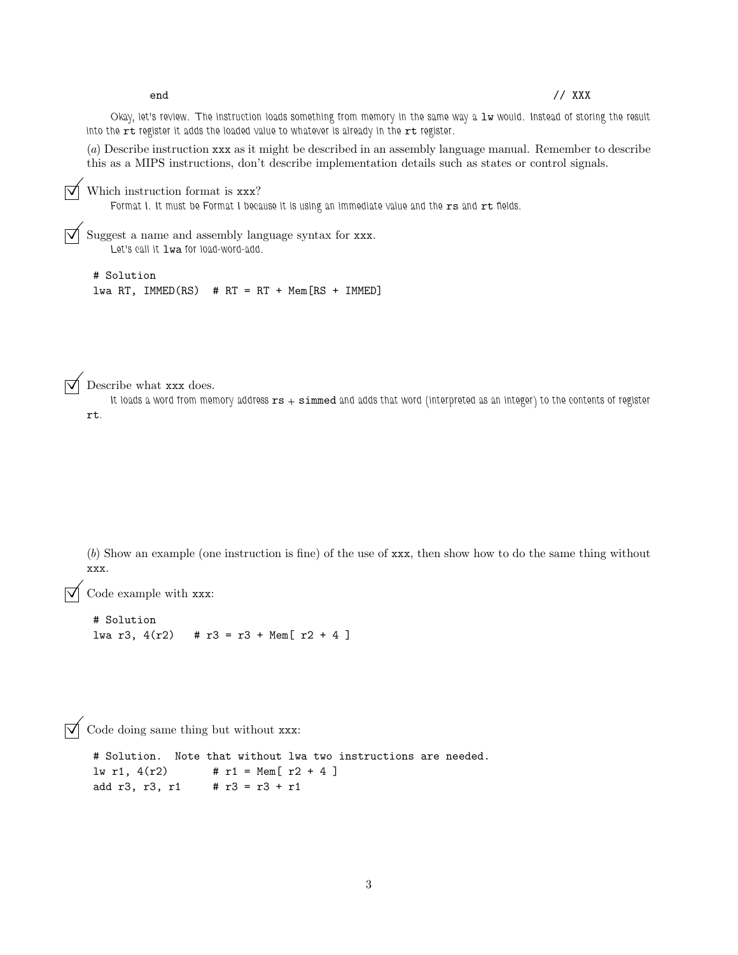## end the contract of the contract of the contract of the contract of the contract of the contract of the contract of the contract of the contract of the contract of the contract of the contract of the contract of the contra

*Okay, let's review. The instruction loads something from memory in the same way a lw would. Instead of storing the result* into the rt register it adds the loaded value to whatever is already in the rt register.

(a) Describe instruction xxx as it might be described in an assembly language manual. Remember to describe this as a MIPS instructions, don't describe implementation details such as states or control signals.

## Which instruction format is xxx?

Format I. It must be Format I because it is using an immediate value and the rs and rt fields.

 $\triangledown$  Suggest a name and assembly language syntax for xxx. Let's call it  $\texttt{1wa}$  for load-word-add.

# Solution lwa RT, IMMED(RS) # RT = RT + Mem[RS + IMMED]

Describe what xxx does.

*It loads a word from memory address* rs *+* simmed *and adds that word (interpreted as an integer) to the contents of register* rt*.*

(b) Show an example (one instruction is fine) of the use of xxx, then show how to do the same thing without xxx.

Code example with xxx:

```
# Solution
lwa r3, 4(r2) # r3 = r3 + Mem[ r2 + 4 ]
```
 $\triangledown$  Code doing same thing but without xxx:

# Solution. Note that without lwa two instructions are needed. lw r1,  $4(r2)$  # r1 = Mem[ r2 + 4] add r3, r3, r1 # r3 = r3 + r1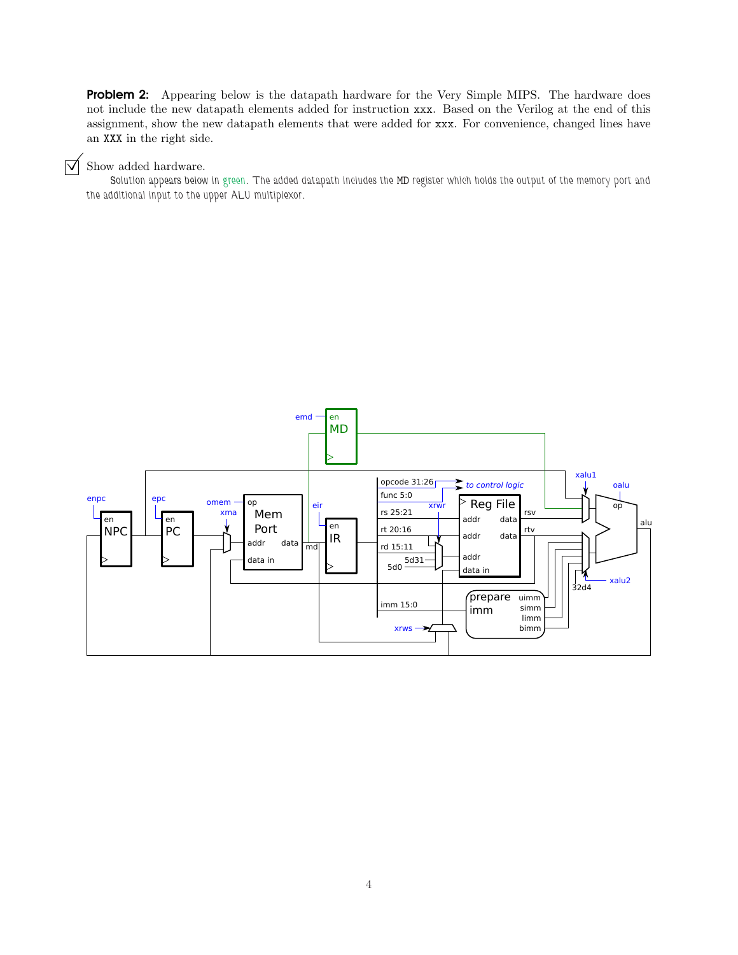**Problem 2:** Appearing below is the datapath hardware for the Very Simple MIPS. The hardware does not include the new datapath elements added for instruction xxx. Based on the Verilog at the end of this assignment, show the new datapath elements that were added for xxx. For convenience, changed lines have an XXX in the right side.

 $\triangledown$  Show added hardware.

*Solution appears below in green. The added datapath includes the* MD *register which holds the output of the memory port and the additional input to the upper ALU multiplexor.*

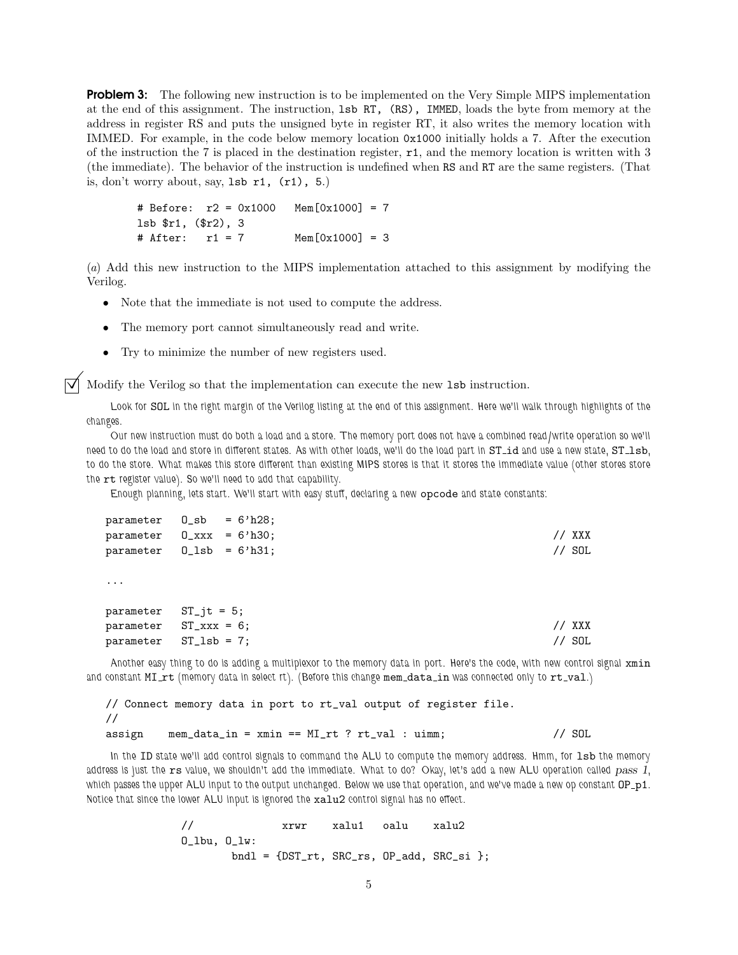**Problem 3:** The following new instruction is to be implemented on the Very Simple MIPS implementation at the end of this assignment. The instruction, lsb RT, (RS), IMMED, loads the byte from memory at the address in register RS and puts the unsigned byte in register RT, it also writes the memory location with IMMED. For example, in the code below memory location 0x1000 initially holds a 7. After the execution of the instruction the 7 is placed in the destination register, r1, and the memory location is written with 3 (the immediate). The behavior of the instruction is undefined when RS and RT are the same registers. (That is, don't worry about, say,  $1sb$  r1,  $(r1)$ , 5.)

# Before: r2 = 0x1000 Mem[0x1000] = 7 lsb \$r1, (\$r2), 3 # After:  $r1 = 7$  Mem  $[0x1000] = 3$ 

(a) Add this new instruction to the MIPS implementation attached to this assignment by modifying the Verilog.

- Note that the immediate is not used to compute the address.
- The memory port cannot simultaneously read and write.
- Try to minimize the number of new registers used.

Modify the Verilog so that the implementation can execute the new lsb instruction.

*Look for* SOL *in the right margin of the Verilog listing at the end of this assignment. Here we'll walk through highlights of the changes.*

*Our new instruction must do both a load and a store. The memory port does not have a combined read/write operation so we'll need to do the load and store in different states. As with other loads, we'll do the load part in ST<sub>id</sub> and use a new state, ST<sub>ibb</sub>, to do the store. What makes this store different than existing MIPS stores is that it stores the immediate value (other stores store the* rt *register value). So we'll need to add that capability.*

*Enough planning, lets start. We'll start with easy stuff, declaring a new* opcode *and state constants:*

|          | parameter $0_s$ = 6'h28;              |          |
|----------|---------------------------------------|----------|
|          | parameter $0_1$ xxx = 6'h30;          | // XXX   |
|          | parameter $0_{\text{lsb}} = 6' h 31;$ | $//$ SOL |
| $\cdots$ |                                       |          |
|          | $parameter$ $ST_{j}t = 5;$            |          |
|          | parameter $ST_xxxx = 6;$              | // XXX   |
|          | parameter ST_1sb = 7;                 | SOL      |

Another easy thing to do is adding a multiplexor to the memory data in port. Here's the code, with new control signal xmin and constant MI\_rt (memory data in select rt). (Before this change mem\_data\_in was connected only to rt\_val.)

```
// Connect memory data in port to rt_val output of register file.
//
assign mem_data_in = xmin == MI_rt ? rt_val : uimm; // SOL
```
*In the* ID *state we'll add control signals to command the ALU to compute the memory address. Hmm, for* lsb *the memory* address is just the rs value, we shouldn't add the immediate. What to do? Okay, let's add a new ALU operation called pass 1, which passes the upper ALU input to the output unchanged. Below we use that operation, and we've made a new op constant  $OP\_p1$ . *Notice that since the lower ALU input is ignored the* xalu2 *control signal has no effect.*

> // xrwr xalu1 oalu xalu2 O\_lbu, O\_lw:  $bndl = {DST_rrt, SRC_rrs, OP_{add}, SRC_sis };$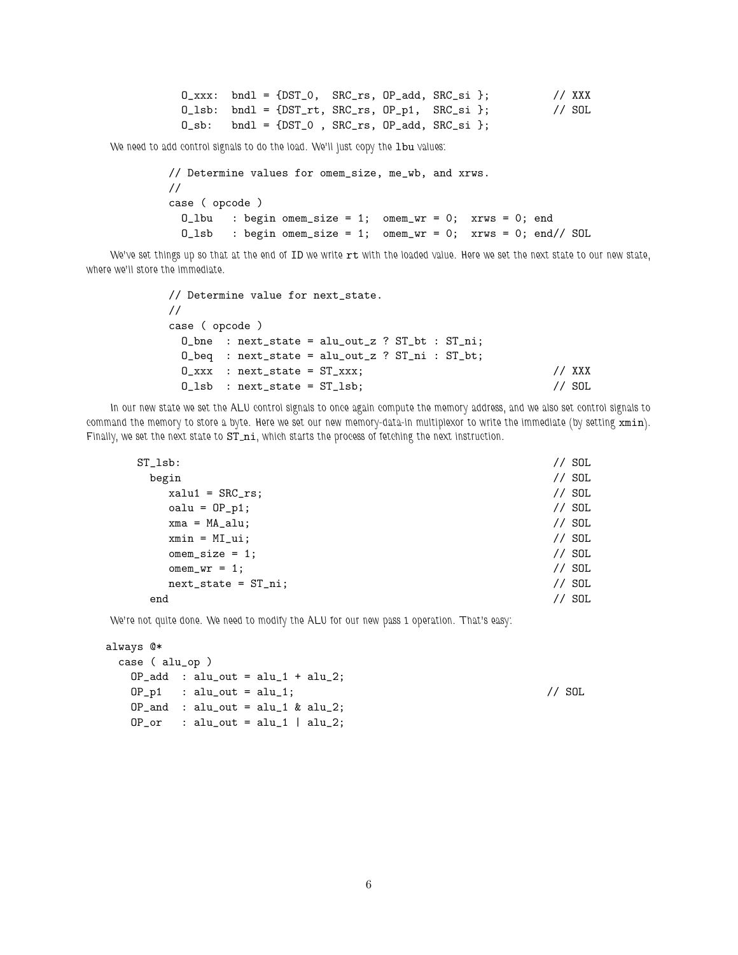| $0_{\text{xxxx}}$ : bndl = {DST_0, SRC_rs, OP_add, SRC_si }; |  | // XXX |
|--------------------------------------------------------------|--|--------|
| $0$ [lsb: bndl = $\{DST\_rt, SRC\_rs, OP\_p1, SRC\_si\}$ ;   |  | // SOL |
| $0$ sb: bndl = {DST_0 , SRC_rs, OP_add, SRC_si };            |  |        |

We need to add control signals to do the load. We'll just copy the 1bu values:

```
// Determine values for omem_size, me_wb, and xrws.
//
case ( opcode )
 0_lbu : begin omem_size = 1; omem_wr = 0; xrws = 0; end
 0<sub>1sb</sub> : begin omem_size = 1; omem_wr = 0; xrws = 0; end// SOL
```
*We've set things up so that at the end of* ID *we write* rt *with the loaded value. Here we set the next state to our new state, where we'll store the immediate.*

```
// Determine value for next_state.
//
case ( opcode )
 O_bne : next_state = alu_out_z ? ST_bt : ST_ni;
 0_{\text{edge}} : next_state = alu_out_z ? ST_ni : ST_bt;
 0_1xxx : next_state = ST_xxx; // XXX
 0
\exists b : next_state = ST_lsb; \angle // SOL
```
*In our new state we set the ALU control signals to once again compute the memory address, and we also set control signals to command the memory to store a byte. Here we set our new memory-data-in multiplexor to write the immediate (by setting xmin). Finally, we set the next state to*  $ST$  ni, which starts the process of fetching the next instruction.

| $ST_lsb$ :                    | // SOL |
|-------------------------------|--------|
| begin                         | // SOL |
| $xalu1 = SRC_rs;$             | // SOL |
| $\text{oalu} = \text{OP}_p1;$ | // SOL |
| $xma = MA_alu;$               | // SOL |
| $xmin = ML_i;$                | // SOL |
| $omen\_size = 1;$             | // SOL |
| $omen\_wr = 1;$               | // SOL |
| $next_state = ST_ni;$         | // SOL |
| end                           | SOL    |
|                               |        |

*We're not quite done. We need to modify the ALU for our new pass 1 operation. That's easy:*

```
always @*
```

```
case ( alu_op )
 OP\_add : alu\_out = alu_1 + alu_2;OP-p1 : alu_out = alu_1; // SOL
 OP_and : alu_out = alu_1 & alu_2;OP_or : alu_out = alu_1 | alu_2;
```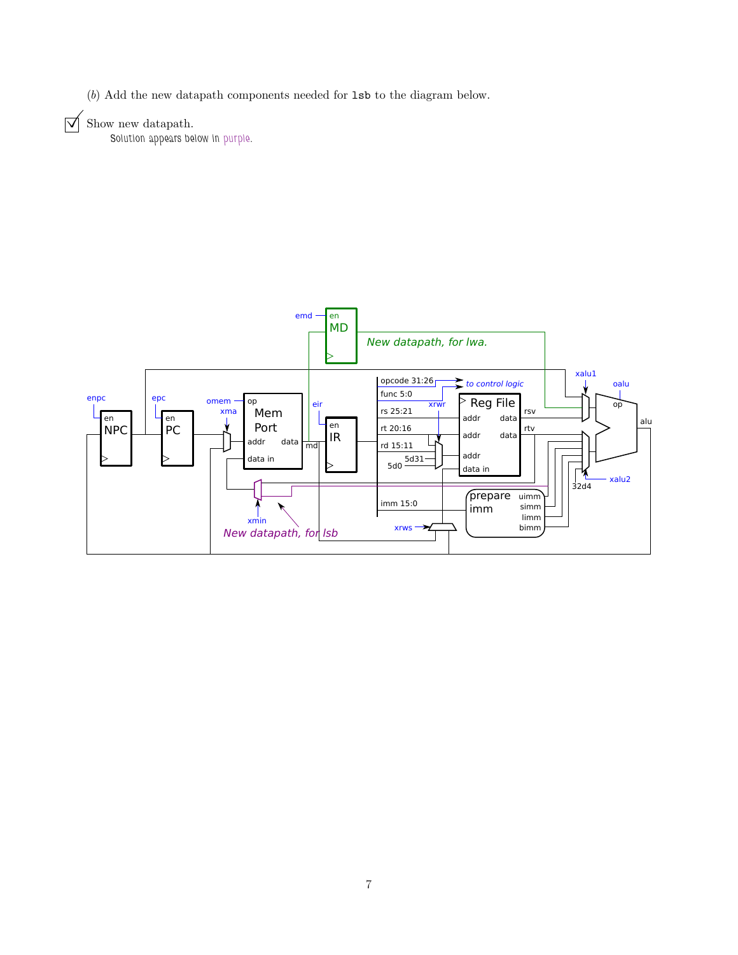(b) Add the new datapath components needed for lsb to the diagram below.



*Solution appears below in purple.*

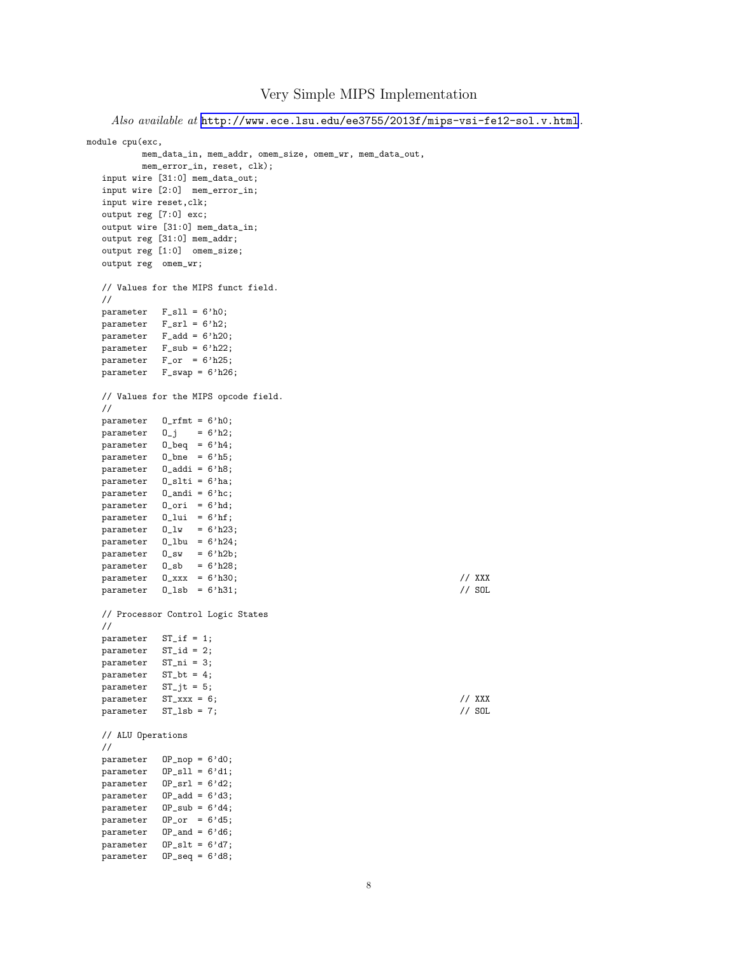## Very Simple MIPS Implementation

```
Also available at http://www.ece.lsu.edu/ee3755/2013f/mips-vsi-fe12-sol.v.html.
module cpu(exc,
          mem_data_in, mem_addr, omem_size, omem_wr, mem_data_out,
          mem_error_in, reset, clk);
  input wire [31:0] mem_data_out;
  input wire [2:0] mem_error_in;
  input wire reset,clk;
  output reg [7:0] exc;
  output wire [31:0] mem_data_in;
  output reg [31:0] mem_addr;
  output reg [1:0] omem_size;
  output reg omem_wr;
  // Values for the MIPS funct field.
  //
  parameter F_sll = 6'h0;
  parameter F_ssrl = 6'h2;
  parameter F_add = 6'h20;
  parameter F_sub = 6'h22;
  parameter F_orr = 6'h25;parameter F_swap = 6'h26;
  // Values for the MIPS opcode field.
  //
  parameter O_rfmt = 6'h0;
   parameter \t 0_j = 6'h2;parameter O_beq = 6'h4;
  \bar{p}arameter 0_b<sub>ne</sub> = 6'h5;
  parameter O_addi = 6'h8;
  parameter O_slti = 6'ha;
  parameter O_andi = 6'hc;
  parameter O_ori = 6'hd;
  {\tt parameter} \quad {\tt 0\_lui} \ = \ 6 \ {\tt 'hf} \, ;parameter 0_l w = 6'h23;parameter O_lbu = 6'h24;
   parameter O_sw = 6'h2b;
   parameter O_sb = 6'h28;
  parameter 0_xxx = 6'h30; // XXX<br>parameter 0_1sb = 6'h31; // SOL<br>parameter 0_1sb = 6'h31;
  parameter 0_lsb = 6'h31;
  // Processor Control Logic States
  //
  parameter ST_if = 1;
  parameter ST_id = 2;
  parameter ST_ni = 3;
   parameter ST_bt = 4;
   parameter ST_jt = 5;
  \frac{1}{2} parameter ST_xxx = 6; // XXX
  parameter ST_lsb = 7; // SOL
  // ALU Operations
  //
  parameter OP_nop = 6'd0;
  parameter OP\_s11 = 6'd1;parameter OP_srl = 6'd2;
   parameter OP_add = 6'd3;
  parameter 0P_sub = 6'd4;
  parameter OP_or = 6'd5;parameter OP_and = 6'd6;
  parameter OP_slt = 6'd7;
  parameter OP_seq = 6'd8;
```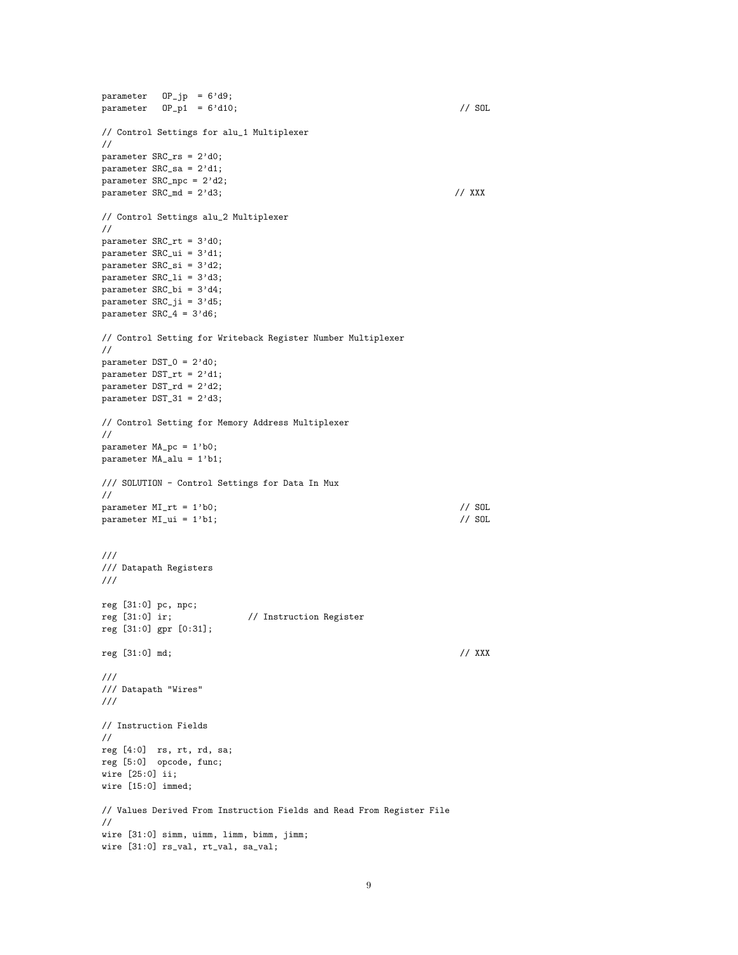$parameter$   $OP$ <sub>-jp</sub> =  $6'd9$ ;  $parameter \t0P_p1 = 6'd10;$  // SOL // Control Settings for alu\_1 Multiplexer // parameter SRC\_rs = 2'd0; parameter SRC\_sa = 2'd1; parameter SRC\_npc = 2'd2; parameter SRC\_md = 2'd3; // XXX // Control Settings alu\_2 Multiplexer // parameter SRC\_rt = 3'd0; parameter SRC\_ui = 3'd1; parameter SRC\_si = 3'd2; parameter SRC\_li = 3'd3; parameter SRC\_bi = 3'd4; parameter SRC\_ji = 3'd5;  $parameter$  SRC\_4 = 3'd6; // Control Setting for Writeback Register Number Multiplexer // parameter DST\_0 = 2'd0; parameter DST\_rt = 2'd1; parameter DST\_rd = 2'd2; parameter  $DST_31 = 2'd3$ ; // Control Setting for Memory Address Multiplexer // parameter MA\_pc = 1'b0; parameter MA\_alu = 1'b1; /// SOLUTION - Control Settings for Data In Mux // parameter  $MI\_rt = 1'b0;$ <br>
parameter  $MI\_ui = 1'b1;$ <br>
// SOL<br>
// SOL parameter  $MI_ui = 1'b1;$ /// /// Datapath Registers /// reg [31:0] pc, npc; reg [31:0] ir; // Instruction Register reg [31:0] gpr [0:31]; reg [31:0] md; // XXX /// /// Datapath "Wires" /// // Instruction Fields // reg [4:0] rs, rt, rd, sa; reg [5:0] opcode, func; wire [25:0] ii; wire [15:0] immed; // Values Derived From Instruction Fields and Read From Register File // wire [31:0] simm, uimm, limm, bimm, jimm; wire [31:0] rs\_val, rt\_val, sa\_val;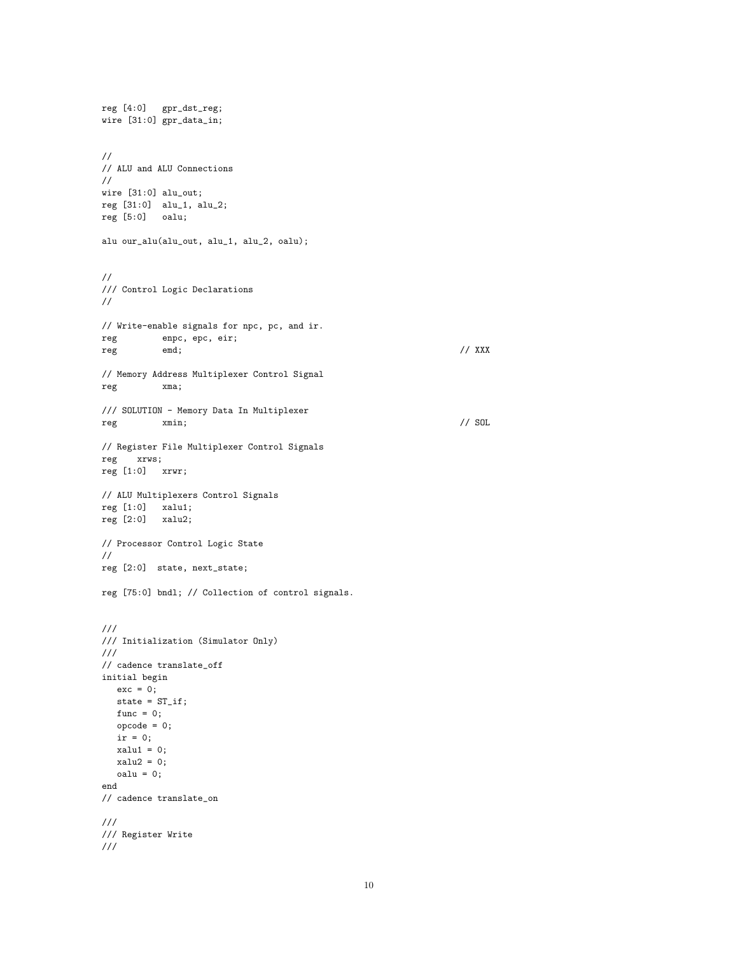```
reg [4:0] gpr_dst_reg;
wire [31:0] gpr_data_in;
//
// ALU and ALU Connections
//
wire [31:0] alu_out;
reg [31:0] alu_1, alu_2;
reg [5:0] oalu;
alu our_alu(alu_out, alu_1, alu_2, oalu);
//
/// Control Logic Declarations
//
// Write-enable signals for npc, pc, and ir.
reg enpc, epc, eir;
reg emd; and emergency emergency and the emergency of \ell / XXX
// Memory Address Multiplexer Control Signal
reg xma;
/// SOLUTION - Memory Data In Multiplexer
reg xmin; // SOL
// Register File Multiplexer Control Signals
reg xrws;
reg [1:0] xrwr;
// ALU Multiplexers Control Signals
reg [1:0] xalu1;
reg [2:0] xalu2;
// Processor Control Logic State
//
reg [2:0] state, next_state;
reg [75:0] bndl; // Collection of control signals.
///
/// Initialization (Simulator Only)
///
// cadence translate_off
initial begin
 exc = 0;state = ST_if;
  func = 0;opcode = 0;
  ir = 0;
  xalu1 = 0;xalu2 = 0;\alphalu = 0;
end
// cadence translate_on
///
/// Register Write
///
```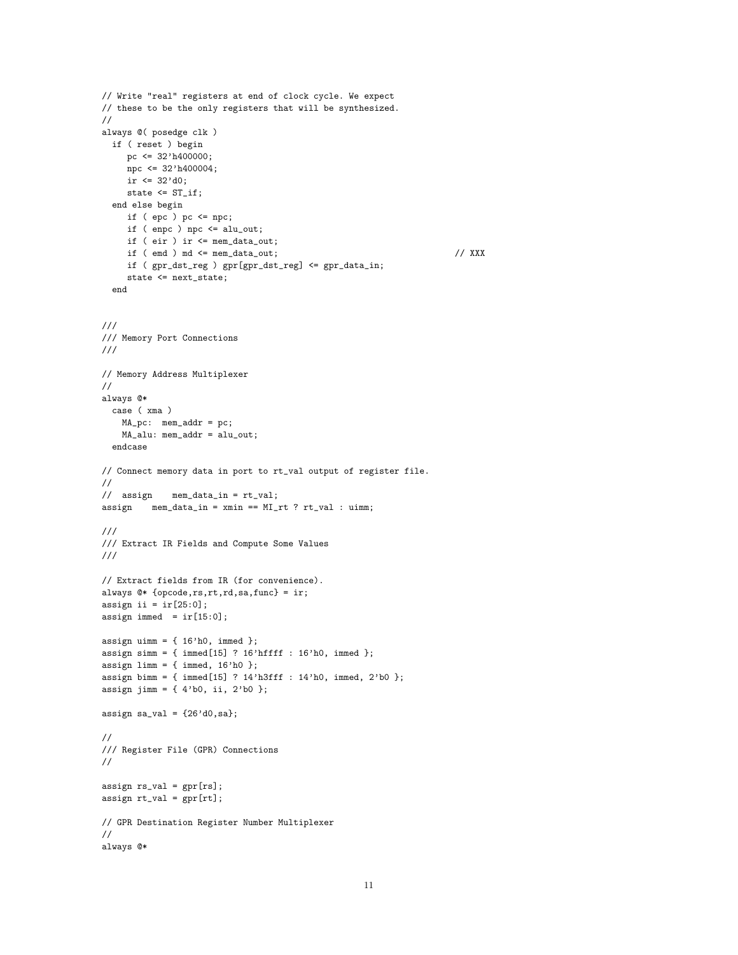```
// Write "real" registers at end of clock cycle. We expect
// these to be the only registers that will be synthesized.
//
always @( posedge clk )
  if ( reset ) begin
     pc \leq 32'h400000;
    npc <= 32'h400004;
     ir <= 32'd0;
     state <= ST_if;
  end else begin
     if ( epc ) pc <= npc;
     if ( enpc ) npc <= alu_out;
     if ( eir ) ir <= mem_data_out;
     \begin{array}{lcl} \texttt{if} & ( \texttt{emd } ) \texttt{ md} \leq & \texttt{mem\_data\_out} \texttt{;} \end{array} \tag{$\texttt{XXX}$}if ( gpr\_dst\_reg ) gpr[gpr\_dst\_reg] \leq gpr\_data\_in;state <= next_state;
  end
///
/// Memory Port Connections
///
// Memory Address Multiplexer
//
always @*
 case ( xma )
   MA_pc: mem_addr = pc;
   MA_alu: mem_addr = alu_out;
  endcase
// Connect memory data in port to rt_val output of register file.
//
// assign mem_data_in = rt_val;
assign mem_data_in = xmin == MI_rt ? rt_val : uimm;
///
/// Extract IR Fields and Compute Some Values
///
// Extract fields from IR (for convenience).
always @* {opcode,rs,rt,rd,sa,func} = ir;
assign ii = ir[25:0];
assign immed = ir[15:0];
assign uimm = \{ 16'h0, \text{immed } \};assign simm = \{ \text{immed}[15] ? 16'hffff : 16'h0, immed };
assign limm = \{ \text{immed, } 16' \text{h0 } \};assign bimm = { immed[15] ? 14'h3fff : 14'h0, immed, 2'b0 };
assign jimm = \{4'b0, i1, 2'b0\};assign sa_val = {26' d0, sab};
//
/// Register File (GPR) Connections
//
assign rs_val = gpr[rs];assign rt_val = gpr[rt];// GPR Destination Register Number Multiplexer
//
always @*
```

```
11
```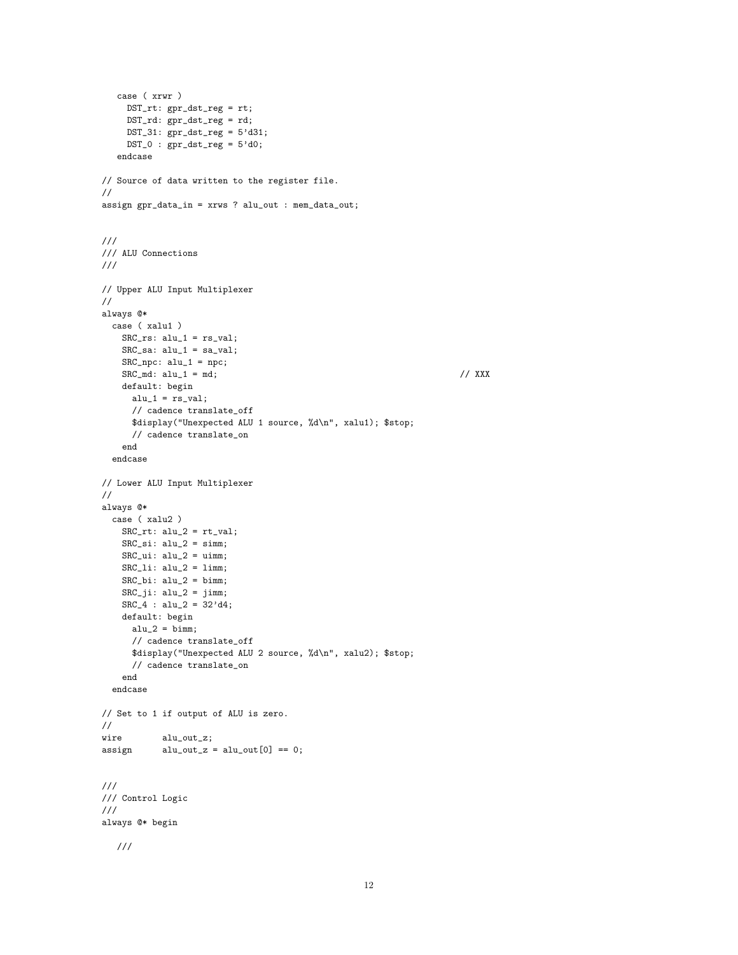```
case ( xrwr )
    DST_rt: gpr_dst_reg = rt;
    DST_rd: gpr_dst_reg = rd;
    DST_31: gpr_dst_reg = 5' d31;DST_0 : gpr\_dst\_reg = 5'd0;endcase
// Source of data written to the register file.
//
assign gpr_data_in = xrws ? alu_out : mem_data_out;
///
/// ALU Connections
///
// Upper ALU Input Multiplexer
//
always @*
 case ( xalu1 )
   SRC\_rs: alu_1 = rs_val;SRC\_sa: alu_1 = sa_val;SRC: \text{alu}_1 = \text{npc};SRC\_md: all\_1 = md; // XXX
   default: begin
    alu_1 = rs_val;
     // cadence translate_off
     $display("Unexpected ALU 1 source, %d\n", xalu1); $stop;
     // cadence translate_on
   end
  endcase
// Lower ALU Input Multiplexer
//
always @*
 case ( xalu2 )
   SRC\_rt: alu_2 = rt\_val;SRC\_si: alu_2 = simm;SRC\_ui: alu_2 = uimm;SRC\_li: alu_2 = limm;SRC\_bi: alu_2 = bimm;
   SRC_ji: alu_2 = jimm;SRC_4 : alu_2 = 32'dd;default: begin
    alu_2 = bimm;// cadence translate_off
     $display("Unexpected ALU 2 source, %d\n", xalu2); $stop;
     // cadence translate_on
   end
  endcase
// Set to 1 if output of ALU is zero.
//
wire alu_out_z;
assign alu\_out_z = alu\_out[0] == 0;///
/// Control Logic
///
always @* begin
  ///
```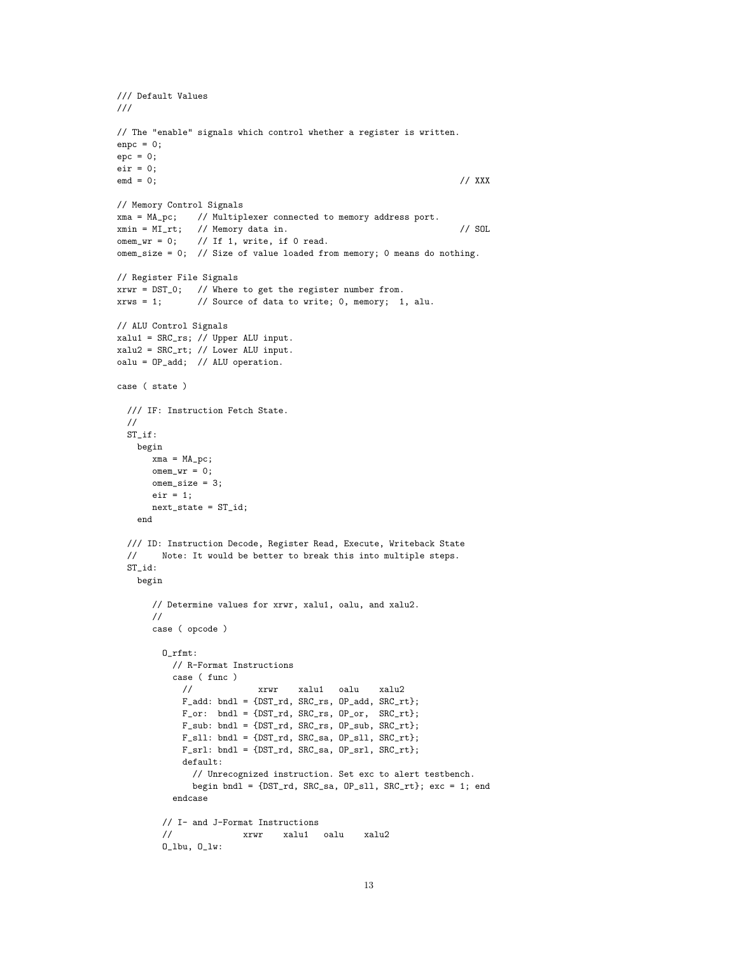```
/// Default Values
///
// The "enable" signals which control whether a register is written.
enpc = 0:
epc = 0;eir = 0;
emd = 0; // XXX
// Memory Control Signals
xma = MA_pc; // Multiplexer connected to memory address port.
xmin = M_{rt}; // Memory data in. // SOL
omem_wr = 0; // If 1, write, if 0 read.
omem_size = 0; // Size of value loaded from memory; 0 means do nothing.
// Register File Signals
xrwr = DST_0; // Where to get the register number from.
xrws = 1; // Source of data to write; 0, memory; 1, alu.
// ALU Control Signals
xalu1 = SRC_rs; // Upper ALU input.
xalu2 = SRC_rt; // Lower ALU input.
oalu = OP_add; // ALU operation.
case ( state )
 /// IF: Instruction Fetch State.
 //
 ST if:
   begin
      xma = MA_pc;
      omen\_wr = 0;omem_size = 3;
      eir = 1;next_state = ST_id;
   end
 /// ID: Instruction Decode, Register Read, Execute, Writeback State
 // Note: It would be better to break this into multiple steps.
 ST_id:
   begin
      // Determine values for xrwr, xalu1, oalu, and xalu2.
      //
      case ( opcode )
        O_rfmt:
          // R-Format Instructions
          case ( func )
           // xrwr xalu1 oalu xalu2
           F_add: bndl = {DST_rd, SRC_rs, OP_add, SRC_rt};
           F_or: bndl = {DST_rd, SRC_rs, OP_or, SRC_rt};
           F_sub: bndl = {DST_rd, SRC_rs, OP_sub, SRC_rt};
           F_sll: bndl = {DST_rd, SRC_sa, OP_sll, SRC_rt};
           F_srl: bndl = {DST_rd, SRC_sa, OP_srl, SRC_rt};
           default:
             // Unrecognized instruction. Set exc to alert testbench.
             begin bndl = {DST_rd, SRC_sa, OP_sll, SRC_rt}; exc = 1; end
          endcase
        // I- and J-Format Instructions
        // xrwr xalu1 oalu xalu2
        O_lbu, O_lw:
```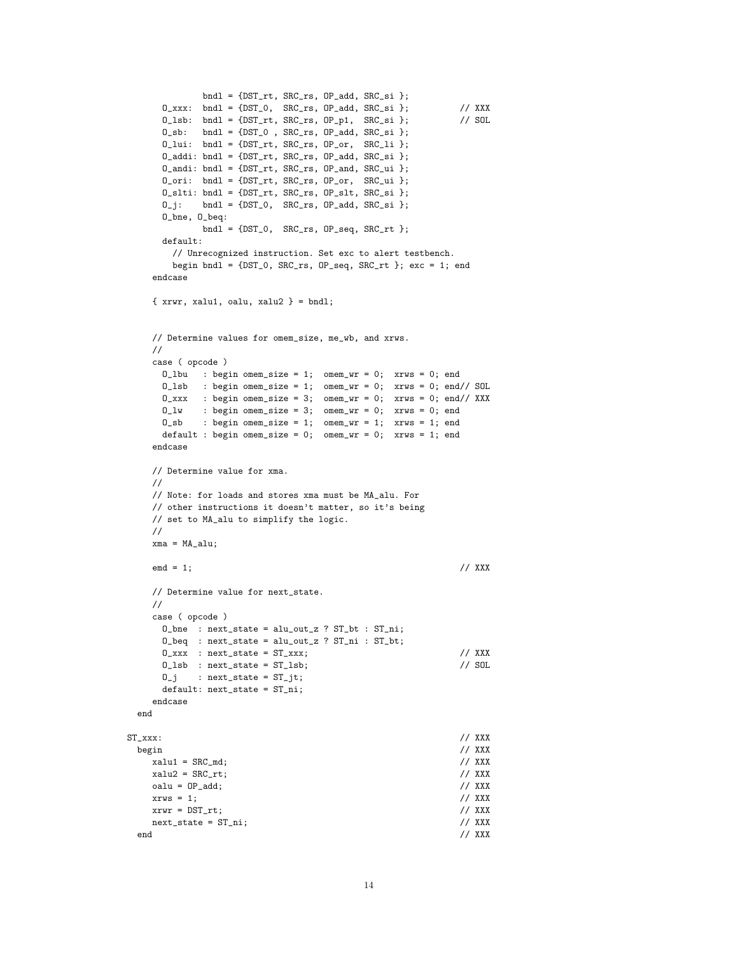```
bndl = {DST_rt, SRC(rs, OP_add, SRC_si)};
      0_xxxx: \text{ bndl} = \{DST_0, \text{SRC\_rs}, \text{OP\_add}, \text{SRC\_si} \}; // XXX
      0_lsb: bndl = {DST_rt, SRC_rs, OP_p1, SRC_si }; // SOL
     0<sub>sb</sub>: bndl = {DST<sub>1</sub>0}, SRC<sub>_rs</sub>, OP<sub>_</sub>add, SRC<sub>_si</sub> };
     0<sup>lui:</sup> bndl = \{DST\_rt, SRC\_rs, OP\_or, SRC\_li\};
     0<sub>-</sub>addi: bndl = {DST_rt, SRC_rs, OP_add, SRC_si };
     0<sub>andi:</sub> bndl = {DST_rt, SRC_rs, OP_and, SRC_ui };
     O_ori: bndl = {DST_rt, SRC_rs, OP_or, SRC_ui };
     0_slti: bndl = {DST_rt, SRC_rs, OP_slt, SRC_si };
     0_j: bndl = {DST_0, SRC_rs, OP_add, SRC_si };
     O_bne, O_beq:
             bndl = {DST_0, SRC_rrs, OP_seq, SRC_rrt };default:
       // Unrecognized instruction. Set exc to alert testbench.
       begin bndl = {DST_0, SRC_rs, OP_seq, SRC_rt }; exc = 1; end
    endcase
    \{ xrwr, xalu1, oalu, xalu2 \} = bnd1;// Determine values for omem_size, me_wb, and xrws.
    //
    case ( opcode )
     0_lbu : begin omem_size = 1; omem_wr = 0; xrws = 0; end
     O_lsb : begin omem_size = 1; omem_wr = 0; xrws = 0; end// SOL
     0_xxxx : begin omem_size = 3; omem_wr = 0; xrws = 0; end// XXX
     0_lw : begin omem_size = 3; omem_wr = 0; xrws = 0; end
     0_sb : begin omem_size = 1; omem_wr = 1; xrws = 1; end
     default : begin omem_size = 0; omem_wr = 0; xrws = 1; end
    endcase
    // Determine value for xma.
    //
   // Note: for loads and stores xma must be MA_alu. For
   // other instructions it doesn't matter, so it's being
   // set to MA_alu to simplify the logic.
   //
   xma = MA_alu;
    emd = 1; // XXX
    // Determine value for next_state.
    //
    case ( opcode )
     O_bne : next_state = alu_out_z ? ST_bt : ST_ni;
     0_{\text{edge}} : next_state = alu_out_z ? ST_ni : ST_bt;
     0_1xxx : next_state = ST_xxx; \frac{1}{2} // XXX
     O_lsb : next_state = ST_lsb; // SOL
     0_j : next_state = ST_jt;
     default: next_state = ST_ni;
    endcase
 end
ST\_xxxx: // XXX
 begin // XXX
   xalu1 = SRC_md; \frac{1}{x} // XXX
   x \text{alu2} = \text{SRC\_rt}; // XXX
   oalu = OP_add; // XXX
   xrws = 1; // XXXxrwr = DST_rrt; // XXX
   next\_state = ST\_ni;<br>d // XXX
 end the contract of the contract of the contract of the contract of the contract of the contract of the contract of the contract of the contract of the contract of the contract of the contract of the contract of the contra
```

```
14
```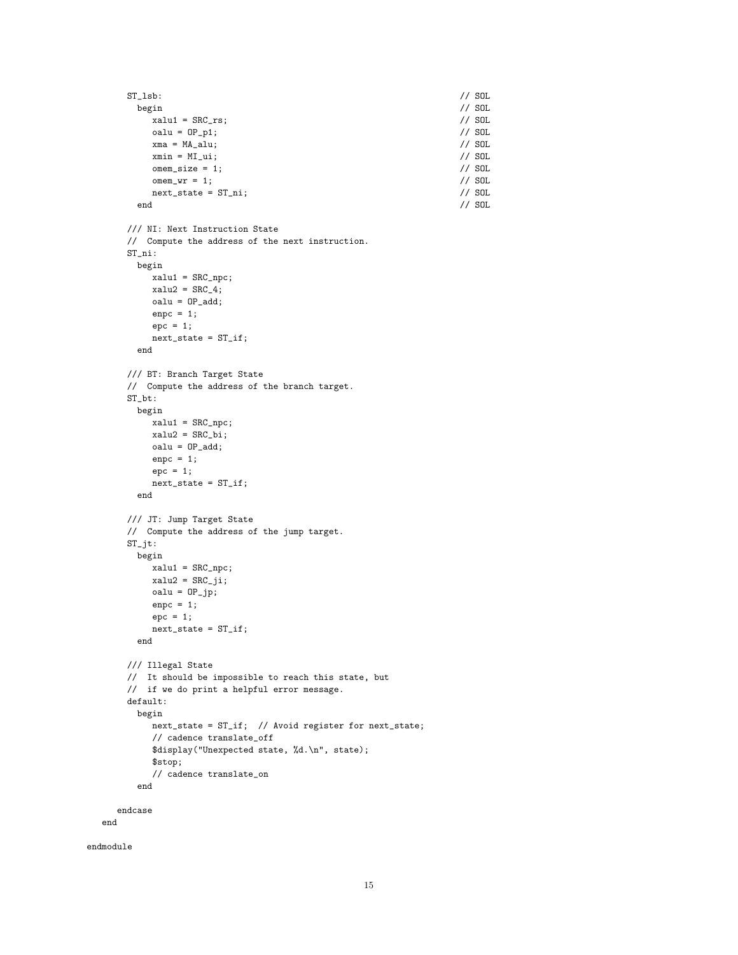```
ST_lsb: // SOL
      begin // SOL
        x \text{all } 1 = \text{SRC\_rs}; // SOL<br>
\text{oall } = \text{OP\_p1}; // SOL
        \text{value} = \text{OP}_p1; // SOL<br>
\text{xma} = \text{MA} \text{alu}: // SOL
       xma = MA_alu;
        xmin = ML_i; // SOL
        \text{omen\_size} = 1;<br>
\text{omen\_wr} = 1; // SOL<br>
\text{conn\_wr} = 1; // SOL
        \text{omem\_wr} = 1;<br>
\text{next\_state} = \text{ST\_ni};<br>
// SOL<br>
// SOL
     next_state = ST_ni; // SOL
      end // SOL
    /// NI: Next Instruction State
    // Compute the address of the next instruction.
    ST_ni:
     begin
        xalu1 = SRC_npc;
        xalu2 = SRC_4;
        oalu = OP_add;
        enpc = 1;
        epc = 1;next_state = ST_if;
      end
    /// BT: Branch Target State
    // Compute the address of the branch target.
    ST_bt:
     begin
        xalu1 = SRC_npc;
        xalu2 = SRC_bi;
        oalu = OP_add;
        enpc = 1;
        epc = 1;next_state = ST_if;
      end
    /// JT: Jump Target State
    // Compute the address of the jump target.
    ST_jt:
     begin
        xalu1 = SRC_npc;
        xalu2 = SRC_ji;
        oalu = 0P_jp;
        enpc = 1;epc = 1;
        next\_state = ST\_if;end
    /// Illegal State
    // It should be impossible to reach this state, but
    // if we do print a helpful error message.
    default:
     begin
        next_state = ST_if; // Avoid register for next_state;
        // cadence translate_off
        $display("Unexpected state, %d.\n", state);
        $stop;
        // cadence translate_on
      end
  endcase
end
```

```
endmodule
```